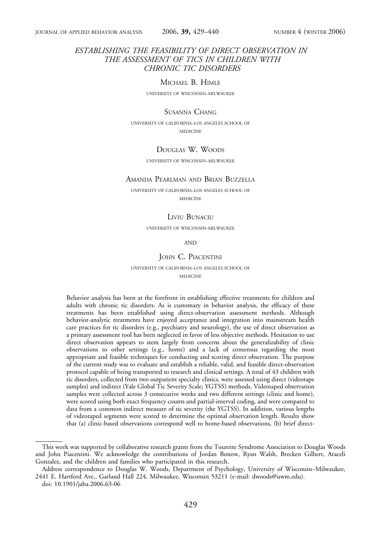# ESTABLISHING THE FEASIBILITY OF DIRECT OBSERVATION IN THE ASSESSMENT OF TICS IN CHILDREN WITH CHRONIC TIC DISORDERS

#### MICHAEL B. HIMLE

UNIVERSITY OF WISCONSIN–MILWAUKEE

#### SUSANNA CHANG

UNIVERSITY OF CALIFORNIA–LOS ANGELES SCHOOL OF **MEDICINE** 

## DOUGLAS W. WOODS

UNIVERSITY OF WISCONSIN–MILWAUKEE

### AMANDA PEARLMAN AND BRIAN BUZZELLA

UNIVERSITY OF CALIFORNIA–LOS ANGELES SCHOOL OF MEDICINE

### LIVIU BUNACIU

UNIVERSITY OF WISCONSIN–MILWAUKEE

AND

#### JOHN C. PIACENTINI

UNIVERSITY OF CALIFORNIA–LOS ANGELES SCHOOL OF MEDICINE

Behavior analysis has been at the forefront in establishing effective treatments for children and adults with chronic tic disorders. As is customary in behavior analysis, the efficacy of these treatments has been established using direct-observation assessment methods. Although behavior-analytic treatments have enjoyed acceptance and integration into mainstream health care practices for tic disorders (e.g., psychiatry and neurology), the use of direct observation as a primary assessment tool has been neglected in favor of less objective methods. Hesitation to use direct observation appears to stem largely from concerns about the generalizability of clinic observations to other settings (e.g., home) and a lack of consensus regarding the most appropriate and feasible techniques for conducting and scoring direct observation. The purpose of the current study was to evaluate and establish a reliable, valid, and feasible direct-observation protocol capable of being transported to research and clinical settings. A total of 43 children with tic disorders, collected from two outpatient specialty clinics, were assessed using direct (videotape samples) and indirect (Yale Global Tic Severity Scale; YGTSS) methods. Videotaped observation samples were collected across 3 consecutive weeks and two different settings (clinic and home), were scored using both exact frequency counts and partial-interval coding, and were compared to data from a common indirect measure of tic severity (the YGTSS). In addition, various lengths of videotaped segments were scored to determine the optimal observation length. Results show that (a) clinic-based observations correspond well to home-based observations, (b) brief direct-

This work was supported by collaborative research grants from the Tourette Syndrome Association to Douglas Woods and John Piacentini. We acknowledge the contributions of Jordan Bonow, Ryan Walsh, Brecken Gilbert, Araceli Gonzalez, and the children and families who participated in this research.

Address correspondence to Douglas W. Woods, Department of Psychology, University of Wisconsin–Milwaukee, 2441 E. Hartford Ave., Garland Hall 224, Milwaukee, Wisconsin 53211 (e-mail: dwoods@uwm.edu).

doi: 10.1901/jaba.2006.63-06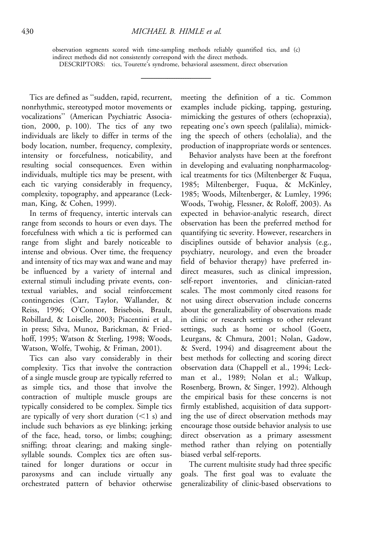observation segments scored with time-sampling methods reliably quantified tics, and (c) indirect methods did not consistently correspond with the direct methods.

DESCRIPTORS: tics, Tourette's syndrome, behavioral assessment, direct observation

Tics are defined as ''sudden, rapid, recurrent, nonrhythmic, stereotyped motor movements or vocalizations'' (American Psychiatric Association, 2000, p. 100). The tics of any two individuals are likely to differ in terms of the body location, number, frequency, complexity, intensity or forcefulness, noticability, and resulting social consequences. Even within individuals, multiple tics may be present, with each tic varying considerably in frequency, complexity, topography, and appearance (Leckman, King, & Cohen, 1999).

In terms of frequency, intertic intervals can range from seconds to hours or even days. The forcefulness with which a tic is performed can range from slight and barely noticeable to intense and obvious. Over time, the frequency and intensity of tics may wax and wane and may be influenced by a variety of internal and external stimuli including private events, contextual variables, and social reinforcement contingencies (Carr, Taylor, Wallander, & Reiss, 1996; O'Connor, Brisebois, Brault, Robillard, & Loiselle, 2003; Piacentini et al., in press; Silva, Munoz, Barickman, & Friedhoff, 1995; Watson & Sterling, 1998; Woods, Watson, Wolfe, Twohig, & Friman, 2001).

Tics can also vary considerably in their complexity. Tics that involve the contraction of a single muscle group are typically referred to as simple tics, and those that involve the contraction of multiple muscle groups are typically considered to be complex. Simple tics are typically of very short duration  $(<1 s)$  and include such behaviors as eye blinking; jerking of the face, head, torso, or limbs; coughing; sniffing; throat clearing; and making singlesyllable sounds. Complex tics are often sustained for longer durations or occur in paroxysms and can include virtually any orchestrated pattern of behavior otherwise

meeting the definition of a tic. Common examples include picking, tapping, gesturing, mimicking the gestures of others (echopraxia), repeating one's own speech (palilalia), mimicking the speech of others (echolalia), and the production of inappropriate words or sentences.

Behavior analysts have been at the forefront in developing and evaluating nonpharmacological treatments for tics (Miltenberger & Fuqua, 1985; Miltenberger, Fuqua, & McKinley, 1985; Woods, Miltenberger, & Lumley, 1996; Woods, Twohig, Flessner, & Roloff, 2003). As expected in behavior-analytic research, direct observation has been the preferred method for quantifying tic severity. However, researchers in disciplines outside of behavior analysis (e.g., psychiatry, neurology, and even the broader field of behavior therapy) have preferred indirect measures, such as clinical impression, self-report inventories, and clinician-rated scales. The most commonly cited reasons for not using direct observation include concerns about the generalizability of observations made in clinic or research settings to other relevant settings, such as home or school (Goetz, Leurgans, & Chmura, 2001; Nolan, Gadow, & Sverd, 1994) and disagreement about the best methods for collecting and scoring direct observation data (Chappell et al., 1994; Leckman et al., 1989; Nolan et al.; Walkup, Rosenberg, Brown, & Singer, 1992). Although the empirical basis for these concerns is not firmly established, acquisition of data supporting the use of direct observation methods may encourage those outside behavior analysis to use direct observation as a primary assessment method rather than relying on potentially biased verbal self-reports.

The current multisite study had three specific goals. The first goal was to evaluate the generalizability of clinic-based observations to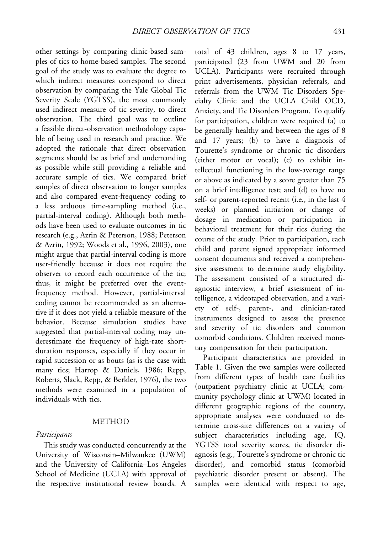other settings by comparing clinic-based samples of tics to home-based samples. The second goal of the study was to evaluate the degree to which indirect measures correspond to direct observation by comparing the Yale Global Tic Severity Scale (YGTSS), the most commonly used indirect measure of tic severity, to direct observation. The third goal was to outline a feasible direct-observation methodology capable of being used in research and practice. We adopted the rationale that direct observation segments should be as brief and undemanding as possible while still providing a reliable and accurate sample of tics. We compared brief samples of direct observation to longer samples and also compared event-frequency coding to a less arduous time-sampling method (i.e., partial-interval coding). Although both methods have been used to evaluate outcomes in tic research (e.g., Azrin & Peterson, 1988; Peterson & Azrin, 1992; Woods et al., 1996, 2003), one might argue that partial-interval coding is more user-friendly because it does not require the observer to record each occurrence of the tic; thus, it might be preferred over the eventfrequency method. However, partial-interval coding cannot be recommended as an alternative if it does not yield a reliable measure of the behavior. Because simulation studies have suggested that partial-interval coding may underestimate the frequency of high-rate shortduration responses, especially if they occur in rapid succession or as bouts (as is the case with many tics; Harrop & Daniels, 1986; Repp, Roberts, Slack, Repp, & Berkler, 1976), the two methods were examined in a population of individuals with tics.

## METHOD

## Participants

This study was conducted concurrently at the University of Wisconsin–Milwaukee (UWM) and the University of California–Los Angeles School of Medicine (UCLA) with approval of the respective institutional review boards. A

total of 43 children, ages 8 to 17 years, participated (23 from UWM and 20 from UCLA). Participants were recruited through print advertisements, physician referrals, and referrals from the UWM Tic Disorders Specialty Clinic and the UCLA Child OCD, Anxiety, and Tic Disorders Program. To qualify for participation, children were required (a) to be generally healthy and between the ages of 8 and 17 years; (b) to have a diagnosis of Tourette's syndrome or chronic tic disorders (either motor or vocal); (c) to exhibit intellectual functioning in the low-average range or above as indicated by a score greater than 75 on a brief intelligence test; and (d) to have no self- or parent-reported recent (i.e., in the last 4 weeks) or planned initiation or change of dosage in medication or participation in behavioral treatment for their tics during the course of the study. Prior to participation, each child and parent signed appropriate informed consent documents and received a comprehensive assessment to determine study eligibility. The assessment consisted of a structured diagnostic interview, a brief assessment of intelligence, a videotaped observation, and a variety of self-, parent-, and clinician-rated instruments designed to assess the presence and severity of tic disorders and common comorbid conditions. Children received monetary compensation for their participation.

Participant characteristics are provided in Table 1. Given the two samples were collected from different types of health care facilities (outpatient psychiatry clinic at UCLA; community psychology clinic at UWM) located in different geographic regions of the country, appropriate analyses were conducted to determine cross-site differences on a variety of subject characteristics including age, IQ, YGTSS total severity scores, tic disorder diagnosis (e.g., Tourette's syndrome or chronic tic disorder), and comorbid status (comorbid psychiatric disorder present or absent). The samples were identical with respect to age,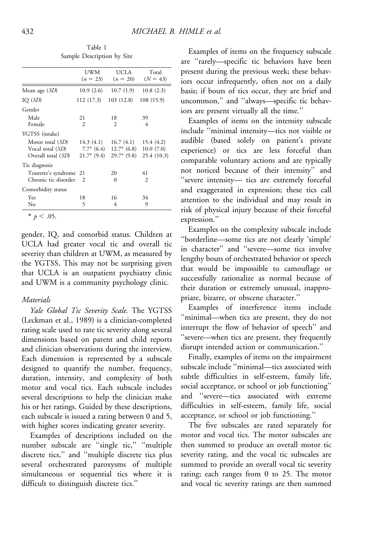|                         | UWM<br>$(n = 23)$ | UCLA<br>$(n = 20)$ | Total<br>$(N = 43)$ |
|-------------------------|-------------------|--------------------|---------------------|
| Mean age (SD)           | 10.9(2.6)         | 10.7(1.9)          | 10.8(2.3)           |
| IQ $(SD)$               | 112 (17.3)        | 103(12.8)          | 108(15.9)           |
| Gender                  |                   |                    |                     |
| Male                    | 21                | 18                 | 39                  |
| Female                  | $\overline{c}$    | $\overline{c}$     | 4                   |
| YGTSS (intake)          |                   |                    |                     |
| Motor total <i>(SD)</i> | 14.3(4.1)         | 16.7(4.1)          | 15.4 (4.2)          |
| Vocal total (SD)        | $7.7* (6.4)$      | $12.7^*$ (6.8)     | 10.0(7.0)           |
| Overall total (SD)      | $21.7^*$ (9.4)    | $29.7^*$ (9.8)     | 25.4 (10.3)         |
| Tic diagnosis           |                   |                    |                     |
| Tourette's syndrome 21  |                   | 20                 | 41                  |
| Chronic tic disorder    |                   | $\Omega$           | $\overline{c}$      |
| Comorbidity status      |                   |                    |                     |
| Yes                     | 18                | 16                 | 34                  |
| No                      | 5                 | 4                  | 9                   |

gender, IQ, and comorbid status. Children at UCLA had greater vocal tic and overall tic severity than children at UWM, as measured by the YGTSS. This may not be surprising given that UCLA is an outpatient psychiatry clinic and UWM is a community psychology clinic.

### Materials

Yale Global Tic Severity Scale. The YGTSS (Leckman et al., 1989) is a clinician-completed rating scale used to rate tic severity along several dimensions based on parent and child reports and clinician observations during the interview. Each dimension is represented by a subscale designed to quantify the number, frequency, duration, intensity, and complexity of both motor and vocal tics. Each subscale includes several descriptions to help the clinician make his or her ratings. Guided by these descriptions, each subscale is issued a rating between 0 and 5, with higher scores indicating greater severity.

Examples of descriptions included on the number subscale are ''single tic,'' ''multiple discrete tics,'' and ''multiple discrete tics plus several orchestrated paroxysms of multiple simultaneous or sequential tics where it is difficult to distinguish discrete tics.''

Examples of items on the frequency subscale are ''rarely—specific tic behaviors have been present during the previous week; these behaviors occur infrequently, often not on a daily basis; if bouts of tics occur, they are brief and uncommon,'' and ''always—specific tic behaviors are present virtually all the time.''

Examples of items on the intensity subscale include ''minimal intensity—tics not visible or audible (based solely on patient's private experience) or tics are less forceful than comparable voluntary actions and are typically not noticed because of their intensity'' and ''severe intensity— tics are extremely forceful and exaggerated in expression; these tics call attention to the individual and may result in risk of physical injury because of their forceful expression.''

Examples on the complexity subscale include ''borderline—some tics are not clearly 'simple' in character'' and ''severe—some tics involve lengthy bouts of orchestrated behavior or speech that would be impossible to camouflage or successfully rationalize as normal because of their duration or extremely unusual, inappropriate, bizarre, or obscene character.''

Examples of interference items include ''minimal—when tics are present, they do not interrupt the flow of behavior of speech'' and ''severe—when tics are present, they frequently disrupt intended action or communication.''

Finally, examples of items on the impairment subscale include ''minimal—tics associated with subtle difficulties in self-esteem, family life, social acceptance, or school or job functioning'' and ''severe—tics associated with extreme difficulties in self-esteem, family life, social acceptance, or school or job functioning.''

The five subscales are rated separately for motor and vocal tics. The motor subscales are then summed to produce an overall motor tic severity rating, and the vocal tic subscales are summed to provide an overall vocal tic severity rating; each ranges from 0 to 25. The motor and vocal tic severity ratings are then summed

Table 1 Sample Description by Site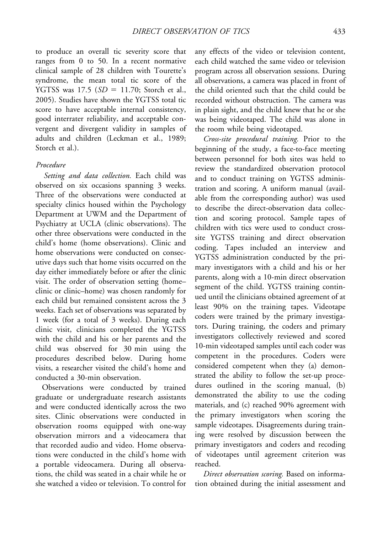to produce an overall tic severity score that ranges from 0 to 50. In a recent normative clinical sample of 28 children with Tourette's syndrome, the mean total tic score of the YGTSS was  $17.5$  (SD = 11.70; Storch et al., 2005). Studies have shown the YGTSS total tic score to have acceptable internal consistency, good interrater reliability, and acceptable convergent and divergent validity in samples of adults and children (Leckman et al., 1989; Storch et al.).

## Procedure

Setting and data collection. Each child was observed on six occasions spanning 3 weeks. Three of the observations were conducted at specialty clinics housed within the Psychology Department at UWM and the Department of Psychiatry at UCLA (clinic observations). The other three observations were conducted in the child's home (home observations). Clinic and home observations were conducted on consecutive days such that home visits occurred on the day either immediately before or after the clinic visit. The order of observation setting (home– clinic or clinic–home) was chosen randomly for each child but remained consistent across the 3 weeks. Each set of observations was separated by 1 week (for a total of 3 weeks). During each clinic visit, clinicians completed the YGTSS with the child and his or her parents and the child was observed for 30 min using the procedures described below. During home visits, a researcher visited the child's home and conducted a 30-min observation.

Observations were conducted by trained graduate or undergraduate research assistants and were conducted identically across the two sites. Clinic observations were conducted in observation rooms equipped with one-way observation mirrors and a videocamera that that recorded audio and video. Home observations were conducted in the child's home with a portable videocamera. During all observations, the child was seated in a chair while he or she watched a video or television. To control for any effects of the video or television content, each child watched the same video or television program across all observation sessions. During all observations, a camera was placed in front of the child oriented such that the child could be recorded without obstruction. The camera was in plain sight, and the child knew that he or she was being videotaped. The child was alone in the room while being videotaped.

Cross-site procedural training. Prior to the beginning of the study, a face-to-face meeting between personnel for both sites was held to review the standardized observation protocol and to conduct training on YGTSS administration and scoring. A uniform manual (available from the corresponding author) was used to describe the direct-observation data collection and scoring protocol. Sample tapes of children with tics were used to conduct crosssite YGTSS training and direct observation coding. Tapes included an interview and YGTSS administration conducted by the primary investigators with a child and his or her parents, along with a 10-min direct observation segment of the child. YGTSS training continued until the clinicians obtained agreement of at least 90% on the training tapes. Videotape coders were trained by the primary investigators. During training, the coders and primary investigators collectively reviewed and scored 10-min videotaped samples until each coder was competent in the procedures. Coders were considered competent when they (a) demonstrated the ability to follow the set-up procedures outlined in the scoring manual, (b) demonstrated the ability to use the coding materials, and (c) reached 90% agreement with the primary investigators when scoring the sample videotapes. Disagreements during training were resolved by discussion between the primary investigators and coders and recoding of videotapes until agreement criterion was reached.

Direct observation scoring. Based on information obtained during the initial assessment and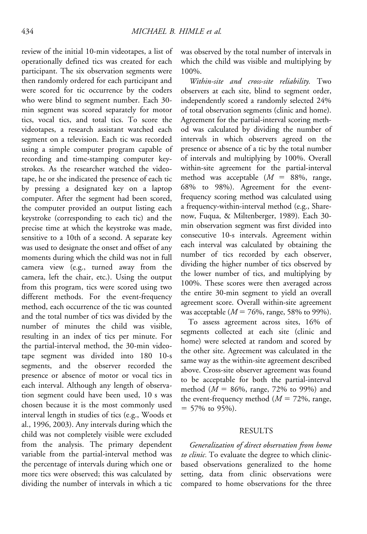review of the initial 10-min videotapes, a list of operationally defined tics was created for each participant. The six observation segments were then randomly ordered for each participant and were scored for tic occurrence by the coders who were blind to segment number. Each 30 min segment was scored separately for motor tics, vocal tics, and total tics. To score the videotapes, a research assistant watched each segment on a television. Each tic was recorded using a simple computer program capable of recording and time-stamping computer keystrokes. As the researcher watched the videotape, he or she indicated the presence of each tic by pressing a designated key on a laptop computer. After the segment had been scored, the computer provided an output listing each keystroke (corresponding to each tic) and the precise time at which the keystroke was made, sensitive to a 10th of a second. A separate key was used to designate the onset and offset of any moments during which the child was not in full camera view (e.g., turned away from the camera, left the chair, etc.). Using the output from this program, tics were scored using two different methods. For the event-frequency method, each occurrence of the tic was counted and the total number of tics was divided by the number of minutes the child was visible, resulting in an index of tics per minute. For the partial-interval method, the 30-min videotape segment was divided into 180 10-s segments, and the observer recorded the presence or absence of motor or vocal tics in each interval. Although any length of observation segment could have been used, 10 s was chosen because it is the most commonly used interval length in studies of tics (e.g., Woods et al., 1996, 2003). Any intervals during which the child was not completely visible were excluded from the analysis. The primary dependent variable from the partial-interval method was the percentage of intervals during which one or more tics were observed; this was calculated by dividing the number of intervals in which a tic

was observed by the total number of intervals in which the child was visible and multiplying by 100%.

Within-site and cross-site reliability. Two observers at each site, blind to segment order, independently scored a randomly selected 24% of total observation segments (clinic and home). Agreement for the partial-interval scoring method was calculated by dividing the number of intervals in which observers agreed on the presence or absence of a tic by the total number of intervals and multiplying by 100%. Overall within-site agreement for the partial-interval method was acceptable  $(M = 88\%, \text{ range},$ 68% to 98%). Agreement for the eventfrequency scoring method was calculated using a frequency-within-interval method (e.g., Sharenow, Fuqua, & Miltenberger, 1989). Each 30 min observation segment was first divided into consecutive 10-s intervals. Agreement within each interval was calculated by obtaining the number of tics recorded by each observer, dividing the higher number of tics observed by the lower number of tics, and multiplying by 100%. These scores were then averaged across the entire 30-min segment to yield an overall agreement score. Overall within-site agreement was acceptable ( $M = 76\%$ , range, 58% to 99%).

To assess agreement across sites, 16% of segments collected at each site (clinic and home) were selected at random and scored by the other site. Agreement was calculated in the same way as the within-site agreement described above. Cross-site observer agreement was found to be acceptable for both the partial-interval method ( $M = 86\%$ , range, 72% to 99%) and the event-frequency method ( $M = 72\%$ , range,  $=$  57% to 95%).

## RESULTS

Generalization of direct observation from home to clinic. To evaluate the degree to which clinicbased observations generalized to the home setting, data from clinic observations were compared to home observations for the three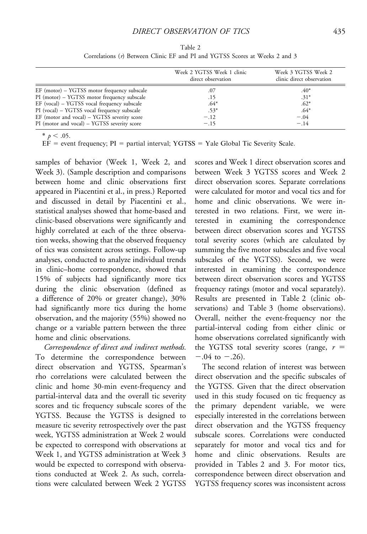| Correlations ( <i>r</i> ) between Clinic EP and P1 and PGT55 Scores at Weeks 2 and 5 |                                                  |                                                  |  |
|--------------------------------------------------------------------------------------|--------------------------------------------------|--------------------------------------------------|--|
|                                                                                      | Week 2 YGTSS Week 1 clinic<br>direct observation | Week 3 YGTSS Week 2<br>clinic direct observation |  |
| EF (motor) – YGTSS motor frequency subscale                                          | .07                                              | $.40*$                                           |  |
| PI (motor) – YGTSS motor frequency subscale                                          | .15                                              | $.31*$                                           |  |
| EF (vocal) – YGTSS vocal frequency subscale                                          | $.64*$                                           | $.62*$                                           |  |
| PI (vocal) – YGTSS vocal frequency subscale                                          | $.53*$                                           | $.64*$                                           |  |
| EF (motor and vocal) – YGTSS severity score                                          | $-.12$                                           | $-.04$                                           |  |
| PI (motor and vocal) - YGTSS severity score                                          | $-.15$                                           | $-.14$                                           |  |

Table 2 Correlations (r) Between Clinic EF and PI and YGTSS Scores at Weeks 2 and 3

\*  $p < .05$ .

 $EF$  = event frequency;  $PI$  = partial interval; YGTSS = Yale Global Tic Severity Scale.

samples of behavior (Week 1, Week 2, and Week 3). (Sample description and comparisons between home and clinic observations first appeared in Piacentini et al., in press.) Reported and discussed in detail by Piacentini et al., statistical analyses showed that home-based and clinic-based observations were significantly and highly correlated at each of the three observation weeks, showing that the observed frequency of tics was consistent across settings. Follow-up analyses, conducted to analyze individual trends in clinic–home correspondence, showed that 15% of subjects had significantly more tics during the clinic observation (defined as a difference of 20% or greater change), 30% had significantly more tics during the home observation, and the majority (55%) showed no change or a variable pattern between the three home and clinic observations.

Correspondence of direct and indirect methods. To determine the correspondence between direct observation and YGTSS, Spearman's rho correlations were calculated between the clinic and home 30-min event-frequency and partial-interval data and the overall tic severity scores and tic frequency subscale scores of the YGTSS. Because the YGTSS is designed to measure tic severity retrospectively over the past week, YGTSS administration at Week 2 would be expected to correspond with observations at Week 1, and YGTSS administration at Week 3 would be expected to correspond with observations conducted at Week 2. As such, correlations were calculated between Week 2 YGTSS scores and Week 1 direct observation scores and between Week 3 YGTSS scores and Week 2 direct observation scores. Separate correlations were calculated for motor and vocal tics and for home and clinic observations. We were interested in two relations. First, we were interested in examining the correspondence between direct observation scores and YGTSS total severity scores (which are calculated by summing the five motor subscales and five vocal subscales of the YGTSS). Second, we were interested in examining the correspondence between direct observation scores and YGTSS frequency ratings (motor and vocal separately). Results are presented in Table 2 (clinic observations) and Table 3 (home observations). Overall, neither the event-frequency nor the partial-interval coding from either clinic or home observations correlated significantly with the YGTSS total severity scores (range,  $r =$  $-.04$  to  $-.26$ ).

The second relation of interest was between direct observation and the specific subscales of the YGTSS. Given that the direct observation used in this study focused on tic frequency as the primary dependent variable, we were especially interested in the correlations between direct observation and the YGTSS frequency subscale scores. Correlations were conducted separately for motor and vocal tics and for home and clinic observations. Results are provided in Tables 2 and 3. For motor tics, correspondence between direct observation and YGTSS frequency scores was inconsistent across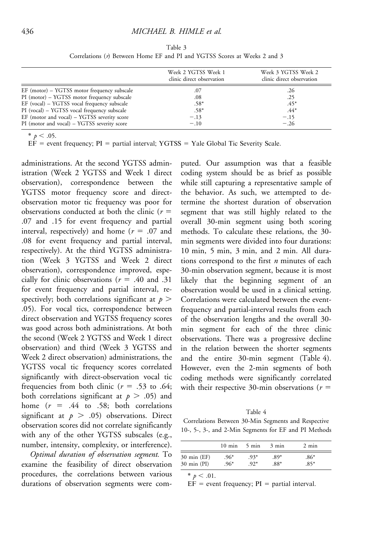|                                                                                    | Table 3 |  |  |
|------------------------------------------------------------------------------------|---------|--|--|
| Correlations ( <i>r</i> ) Between Home EF and PI and YGTSS Scores at Weeks 2 and 3 |         |  |  |

|                                               | Week 2 YGTSS Week 1<br>clinic direct observation | Week 3 YGTSS Week 2<br>clinic direct observation |
|-----------------------------------------------|--------------------------------------------------|--------------------------------------------------|
| EF (motor) – YGTSS motor frequency subscale   | .07                                              | .26                                              |
| PI (motor) – YGTSS motor frequency subscale   | .08                                              | .25                                              |
| EF (vocal) – YGTSS vocal frequency subscale   | $.58*$                                           | $.45*$                                           |
| PI (vocal) – YGTSS vocal frequency subscale   | $.58*$                                           | $.44*$                                           |
| $EF$ (motor and vocal) – YGTSS severity score | $-.13$                                           | $-.15$                                           |
| PI (motor and vocal) – YGTSS severity score   | $-.10$                                           | $-.26$                                           |

\*  $p < .05$ .

 $EF$  = event frequency; PI = partial interval; YGTSS = Yale Global Tic Severity Scale.

administrations. At the second YGTSS administration (Week 2 YGTSS and Week 1 direct observation), correspondence between the YGTSS motor frequency score and directobservation motor tic frequency was poor for observations conducted at both the clinic ( $r =$ .07 and .15 for event frequency and partial interval, respectively) and home ( $r = .07$  and .08 for event frequency and partial interval, respectively). At the third YGTSS administration (Week 3 YGTSS and Week 2 direct observation), correspondence improved, especially for clinic observations ( $r = .40$  and .31 for event frequency and partial interval, respectively; both correlations significant at  $p >$ .05). For vocal tics, correspondence between direct observation and YGTSS frequency scores was good across both administrations. At both the second (Week 2 YGTSS and Week 1 direct observation) and third (Week 3 YGTSS and Week 2 direct observation) administrations, the YGTSS vocal tic frequency scores correlated significantly with direct-observation vocal tic frequencies from both clinic ( $r = .53$  to .64; both correlations significant at  $p > .05$ ) and home  $(r = .44$  to .58; both correlations significant at  $p > .05$ ) observations. Direct observation scores did not correlate significantly with any of the other YGTSS subscales (e.g., number, intensity, complexity, or interference).

Optimal duration of observation segment. To examine the feasibility of direct observation procedures, the correlations between various durations of observation segments were computed. Our assumption was that a feasible coding system should be as brief as possible while still capturing a representative sample of the behavior. As such, we attempted to determine the shortest duration of observation segment that was still highly related to the overall 30-min segment using both scoring methods. To calculate these relations, the 30 min segments were divided into four durations: 10 min, 5 min, 3 min, and 2 min. All durations correspond to the first  $n$  minutes of each 30-min observation segment, because it is most likely that the beginning segment of an observation would be used in a clinical setting. Correlations were calculated between the eventfrequency and partial-interval results from each of the observation lengths and the overall 30 min segment for each of the three clinic observations. There was a progressive decline in the relation between the shorter segments and the entire 30-min segment (Table 4). However, even the 2-min segments of both coding methods were significantly correlated with their respective 30-min observations ( $r =$ 

Table 4 Correlations Between 30-Min Segments and Respective 10-, 5-, 3-, and 2-Min Segments for EF and PI Methods

|                       | $10 \text{ min}$ | 5 min  | $3 \text{ min}$ | $2 \text{ min}$ |
|-----------------------|------------------|--------|-----------------|-----------------|
| $30 \text{ min}$ (EF) | $.96*$           | $.93*$ | .89*            | $.86*$          |
| $30 \text{ min (PI)}$ | .96*             | $.92*$ | $.88*$          | $.85*$          |

\*  $p < .01$ .

 $EF$  = event frequency;  $PI$  = partial interval.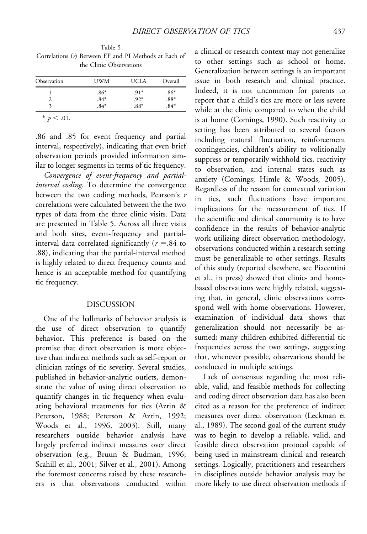| Observation | UWM    | <b>UCLA</b> | Overall                |  |
|-------------|--------|-------------|------------------------|--|
|             | $.86*$ | $.91*$      | $.86*$                 |  |
|             | $.84*$ | $.92*$      | $.88^{*}$<br>$.84^{*}$ |  |
| L,          | $.84*$ | $.88*$      |                        |  |

Table 5 Correlations (r) Between EF and PI Methods at Each of the Clinic Observations

.86 and .85 for event frequency and partial interval, respectively), indicating that even brief observation periods provided information similar to longer segments in terms of tic frequency.

Convergence of event-frequency and partialinterval coding. To determine the convergence between the two coding methods, Pearson's r correlations were calculated between the the two types of data from the three clinic visits. Data are presented in Table 5. Across all three visits and both sites, event-frequency and partialinterval data correlated significantly ( $r = .84$  to .88), indicating that the partial-interval method is highly related to direct frequency counts and hence is an acceptable method for quantifying tic frequency.

## DISCUSSION

One of the hallmarks of behavior analysis is the use of direct observation to quantify behavior. This preference is based on the premise that direct observation is more objective than indirect methods such as self-report or clinician ratings of tic severity. Several studies, published in behavior-analytic outlets, demonstrate the value of using direct observation to quantify changes in tic frequency when evaluating behavioral treatments for tics (Azrin & Peterson, 1988; Peterson & Azrin, 1992; Woods et al., 1996, 2003). Still, many researchers outside behavior analysis have largely preferred indirect measures over direct observation (e.g., Bruun & Budman, 1996; Scahill et al., 2001; Silver et al., 2001). Among the foremost concerns raised by these researchers is that observations conducted within a clinical or research context may not generalize to other settings such as school or home. Generalization between settings is an important issue in both research and clinical practice. Indeed, it is not uncommon for parents to report that a child's tics are more or less severe while at the clinic compared to when the child is at home (Comings, 1990). Such reactivity to setting has been attributed to several factors including natural fluctuation, reinforcement contingencies, children's ability to volitionally suppress or temporarily withhold tics, reactivity to observation, and internal states such as anxiety (Comings; Himle & Woods, 2005). Regardless of the reason for contextual variation in tics, such fluctuations have important implications for the measurement of tics. If the scientific and clinical community is to have confidence in the results of behavior-analytic work utilizing direct observation methodology, observations conducted within a research setting must be generalizable to other settings. Results of this study (reported elsewhere, see Piacentini et al., in press) showed that clinic- and homebased observations were highly related, suggesting that, in general, clinic observations correspond well with home observations. However, examination of individual data shows that generalization should not necessarily be assumed; many children exhibited differential tic frequencies across the two settings, suggesting that, whenever possible, observations should be conducted in multiple settings.

Lack of consensus regarding the most reliable, valid, and feasible methods for collecting and coding direct observation data has also been cited as a reason for the preference of indirect measures over direct observation (Leckman et al., 1989). The second goal of the current study was to begin to develop a reliable, valid, and feasible direct observation protocol capable of being used in mainstream clinical and research settings. Logically, practitioners and researchers in disciplines outside behavior analysis may be more likely to use direct observation methods if

<sup>\*</sup>  $p < .01$ .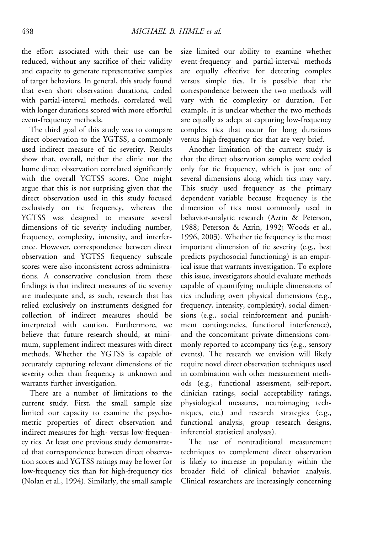the effort associated with their use can be reduced, without any sacrifice of their validity and capacity to generate representative samples of target behaviors. In general, this study found that even short observation durations, coded with partial-interval methods, correlated well with longer durations scored with more effortful event-frequency methods.

The third goal of this study was to compare direct observation to the YGTSS, a commonly used indirect measure of tic severity. Results show that, overall, neither the clinic nor the home direct observation correlated significantly with the overall YGTSS scores. One might argue that this is not surprising given that the direct observation used in this study focused exclusively on tic frequency, whereas the YGTSS was designed to measure several dimensions of tic severity including number, frequency, complexity, intensity, and interference. However, correspondence between direct observation and YGTSS frequency subscale scores were also inconsistent across administrations. A conservative conclusion from these findings is that indirect measures of tic severity are inadequate and, as such, research that has relied exclusively on instruments designed for collection of indirect measures should be interpreted with caution. Furthermore, we believe that future research should, at minimum, supplement indirect measures with direct methods. Whether the YGTSS is capable of accurately capturing relevant dimensions of tic severity other than frequency is unknown and warrants further investigation.

There are a number of limitations to the current study. First, the small sample size limited our capacity to examine the psychometric properties of direct observation and indirect measures for high- versus low-frequency tics. At least one previous study demonstrated that correspondence between direct observation scores and YGTSS ratings may be lower for low-frequency tics than for high-frequency tics (Nolan et al., 1994). Similarly, the small sample

size limited our ability to examine whether event-frequency and partial-interval methods are equally effective for detecting complex versus simple tics. It is possible that the correspondence between the two methods will vary with tic complexity or duration. For example, it is unclear whether the two methods are equally as adept at capturing low-frequency complex tics that occur for long durations versus high-frequency tics that are very brief.

Another limitation of the current study is that the direct observation samples were coded only for tic frequency, which is just one of several dimensions along which tics may vary. This study used frequency as the primary dependent variable because frequency is the dimension of tics most commonly used in behavior-analytic research (Azrin & Peterson, 1988; Peterson & Azrin, 1992; Woods et al., 1996, 2003). Whether tic frequency is the most important dimension of tic severity (e.g., best predicts psychosocial functioning) is an empirical issue that warrants investigation. To explore this issue, investigators should evaluate methods capable of quantifying multiple dimensions of tics including overt physical dimensions (e.g., frequency, intensity, complexity), social dimensions (e.g., social reinforcement and punishment contingencies, functional interference), and the concomitant private dimensions commonly reported to accompany tics (e.g., sensory events). The research we envision will likely require novel direct observation techniques used in combination with other measurement methods (e.g., functional assessment, self-report, clinician ratings, social acceptability ratings, physiological measures, neuroimaging techniques, etc.) and research strategies (e.g., functional analysis, group research designs, inferential statistical analyses).

The use of nontraditional measurement techniques to complement direct observation is likely to increase in popularity within the broader field of clinical behavior analysis. Clinical researchers are increasingly concerning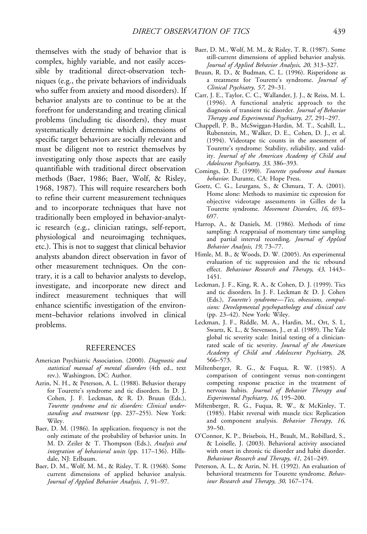themselves with the study of behavior that is complex, highly variable, and not easily accessible by traditional direct-observation techniques (e.g., the private behaviors of individuals who suffer from anxiety and mood disorders). If behavior analysts are to continue to be at the forefront for understanding and treating clinical problems (including tic disorders), they must systematically determine which dimensions of specific target behaviors are socially relevant and must be diligent not to restrict themselves by investigating only those aspects that are easily quantifiable with traditional direct observation methods (Baer, 1986; Baer, Wolf, & Risley, 1968, 1987). This will require researchers both to refine their current measurement techniques and to incorporate techniques that have not traditionally been employed in behavior-analytic research (e.g., clinician ratings, self-report, physiological and neuroimaging techniques, etc.). This is not to suggest that clinical behavior analysts abandon direct observation in favor of other measurement techniques. On the contrary, it is a call to behavior analysts to develop, investigate, and incorporate new direct and indirect measurement techniques that will enhance scientific investigation of the environment–behavior relations involved in clinical problems.

### REFERENCES

- American Psychiatric Association. (2000). Diagnostic and statistical manual of mental disorders (4th ed., text rev.). Washington, DC: Author.
- Azrin, N. H., & Peterson, A. L. (1988). Behavior therapy for Tourette's syndrome and tic disorders. In D. J. Cohen, J. F. Leckman, & R. D. Bruun (Eds.), Tourette syndrome and tic disorders: Clinical understanding and treatment (pp. 237–255). New York: Wiley.
- Baer, D. M. (1986). In application, frequency is not the only estimate of the probability of behavior units. In M. D. Zeiler & T. Thompson (Eds.), Analysis and integration of behavioral units (pp. 117–136). Hillsdale, NJ: Erlbaum.
- Baer, D. M., Wolf, M. M., & Risley, T. R. (1968). Some current dimensions of applied behavior analysis. Journal of Applied Behavior Analysis, 1, 91–97.
- Baer, D. M., Wolf, M. M., & Risley, T. R. (1987). Some still-current dimensions of applied behavior analysis. Journal of Applied Behavior Analysis, 20, 313–327.
- Bruun, R. D., & Budman, C. L. (1996). Risperidone as a treatment for Tourette's syndrome. Journal of Clinical Psychiatry, 57, 29–31.
- Carr, J. E., Taylor, C. C., Wallander, J. J., & Reiss, M. L. (1996). A functional analytic approach to the diagnosis of transient tic disorder. Journal of Behavior Therapy and Experimental Psychiatry, 27, 291–297.
- Chappell, P. B., McSwiggan-Hardin, M. T., Scahill, L., Rubenstein, M., Walker, D. E., Cohen, D. J., et al. (1994). Videotape tic counts in the assessment of Tourette's syndrome: Stability, reliability, and validity. Journal of the American Academy of Child and Adolescent Psychiatry, 33, 386–393.
- Comings, D. E. (1990). Tourette syndrome and human behavior. Durante, CA: Hope Press.
- Goetz, C. G., Leurgans, S., & Chmura, T. A. (2001). Home alone: Methods to maximize tic expression for objective videotape assessments in Gilles de la Tourette syndrome. Movement Disorders, 16, 693– 697.
- Harrop, A., & Daniels, M. (1986). Methods of time sampling: A reappraisal of momentary time sampling and partial interval recording. Journal of Applied Behavior Analysis, 19, 73–77.
- Himle, M. B., & Woods, D. W. (2005). An experimental evaluation of tic suppression and the tic rebound effect. Behaviour Research and Therapy, 43, 1443-1451.
- Leckman, J. F., King, R. A., & Cohen, D. J. (1999). Tics and tic disorders. In J. F. Leckman & D. J. Cohen (Eds.), Tourette's syndrome—Tics, obsessions, compulsions: Developmental psychopathology and clinical care (pp. 23–42). New York: Wiley.
- Leckman, J. F., Riddle, M. A., Hardin, M., Ort, S. I., Swartz, K. L., & Stevenson, J., et al. (1989). The Yale global tic severity scale: Initial testing of a clinicianrated scale of tic severity. Journal of the American Academy of Child and Adolescent Psychiatry, 28, 566–573.
- Miltenberger, R. G., & Fuqua, R. W. (1985). A comparison of contingent versus non-contingent competing response practice in the treatment of nervous habits. Journal of Behavior Therapy and Experimental Psychiatry, 16, 195–200.
- Miltenberger, R. G., Fuqua, R. W., & McKinley, T. (1985). Habit reversal with muscle tics: Replication and component analysis. Behavior Therapy, 16, 39–50.
- O'Connor, K. P., Brisebois, H., Brault, M., Robillard, S., & Loiselle, J. (2003). Behavioral activity associated with onset in chronic tic disorder and habit disorder. Behaviour Research and Therapy, 41, 241–249.
- Peterson, A. L., & Azrin, N. H. (1992). An evaluation of behavioral treatments for Tourette syndrome. Behaviour Research and Therapy, 30, 167–174.